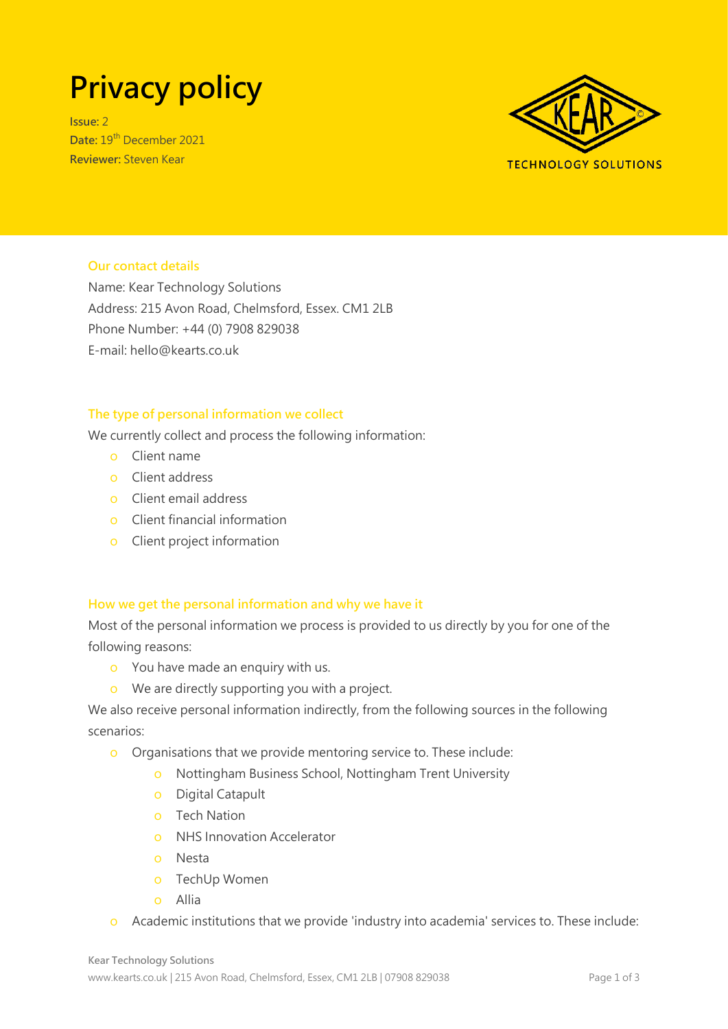# **Privacy policy**

**Issue:** 2 **Date:** 19th December 2021 **Reviewer:** Steven Kear



# **Our contact details**

Name: Kear Technology Solutions Address: 215 Avon Road, Chelmsford, Essex. CM1 2LB Phone Number: +44 (0) 7908 829038 E-mail: hello@kearts.co.uk

## **The type of personal information we collect**

We currently collect and process the following information:

- o Client name
- o Client address
- o Client email address
- o Client financial information
- o Client project information

#### **How we get the personal information and why we have it**

Most of the personal information we process is provided to us directly by you for one of the following reasons:

- o You have made an enquiry with us.
- o We are directly supporting you with a project.

We also receive personal information indirectly, from the following sources in the following scenarios:

- o Organisations that we provide mentoring service to. These include:
	- o Nottingham Business School, Nottingham Trent University
	- o Digital Catapult
	- o Tech Nation
	- o NHS Innovation Accelerator
	- o Nesta
	- o TechUp Women
	- o Allia
- o Academic institutions that we provide 'industry into academia' services to. These include: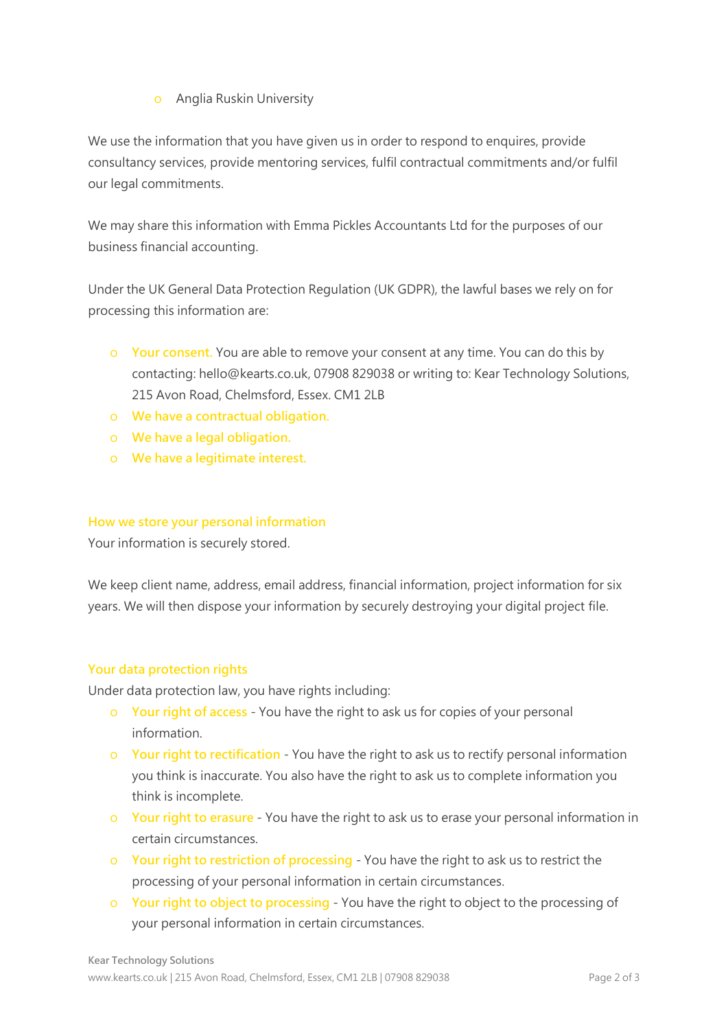o Anglia Ruskin University

We use the information that you have given us in order to respond to enquires, provide consultancy services, provide mentoring services, fulfil contractual commitments and/or fulfil our legal commitments.

We may share this information with Emma Pickles Accountants Ltd for the purposes of our business financial accounting.

Under the UK General Data Protection Regulation (UK GDPR), the lawful bases we rely on for processing this information are:

- o **Your consent.** You are able to remove your consent at any time. You can do this by contacting: hello@kearts.co.uk, 07908 829038 or writing to: Kear Technology Solutions, 215 Avon Road, Chelmsford, Essex. CM1 2LB
- o **We have a contractual obligation.**
- o **We have a legal obligation.**
- o **We have a legitimate interest.**

## **How we store your personal information**

Your information is securely stored.

We keep client name, address, email address, financial information, project information for six years. We will then dispose your information by securely destroying your digital project file.

#### **Your data protection rights**

Under data protection law, you have rights including:

- o **Your right of access** You have the right to ask us for copies of your personal information.
- o **Your right to rectification** You have the right to ask us to rectify personal information you think is inaccurate. You also have the right to ask us to complete information you think is incomplete.
- o **Your right to erasure** You have the right to ask us to erase your personal information in certain circumstances.
- o **Your right to restriction of processing**  You have the right to ask us to restrict the processing of your personal information in certain circumstances.
- o **Your right to object to processing** You have the right to object to the processing of your personal information in certain circumstances.